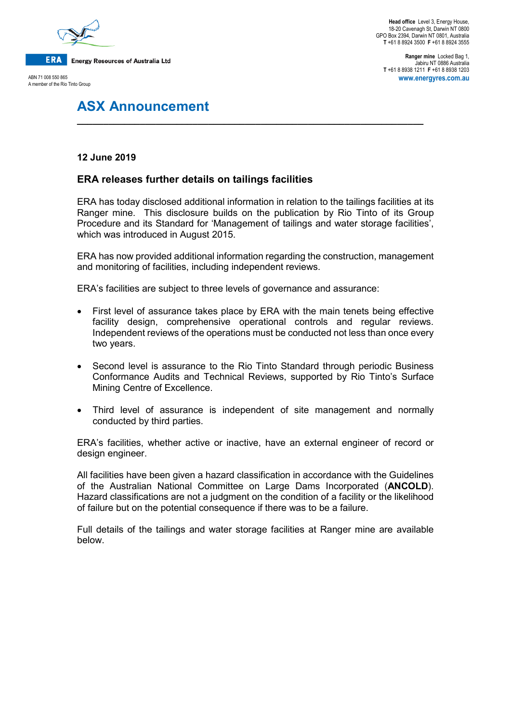

**Ranger mine** Locked Bag 1, Jabiru NT 0886 Australia **T** +61 8 8938 1211 **F** +61 8 8938 1203 **www.energyres.com.au**

# **ASX Announcement**

## **12 June 2019**

# **ERA releases further details on tailings facilities**

ERA has today disclosed additional information in relation to the tailings facilities at its Ranger mine. This disclosure builds on the publication by Rio Tinto of its Group Procedure and its Standard for 'Management of tailings and water storage facilities', which was introduced in August 2015.

**\_\_\_\_\_\_\_\_\_\_\_\_\_\_\_\_\_\_\_\_\_\_\_\_\_\_\_\_\_\_\_\_\_\_\_\_\_\_\_\_\_\_\_\_\_\_\_\_\_\_\_\_\_\_\_\_\_\_\_\_\_\_\_\_\_\_**

ERA has now provided additional information regarding the construction, management and monitoring of facilities, including independent reviews.

ERA's facilities are subject to three levels of governance and assurance:

- First level of assurance takes place by ERA with the main tenets being effective facility design, comprehensive operational controls and regular reviews. Independent reviews of the operations must be conducted not less than once every two years.
- Second level is assurance to the Rio Tinto Standard through periodic Business Conformance Audits and Technical Reviews, supported by Rio Tinto's Surface Mining Centre of Excellence.
- Third level of assurance is independent of site management and normally conducted by third parties.

ERA's facilities, whether active or inactive, have an external engineer of record or design engineer.

All facilities have been given a hazard classification in accordance with the Guidelines of the Australian National Committee on Large Dams Incorporated (**ANCOLD**). Hazard classifications are not a judgment on the condition of a facility or the likelihood of failure but on the potential consequence if there was to be a failure.

Full details of the tailings and water storage facilities at Ranger mine are available below.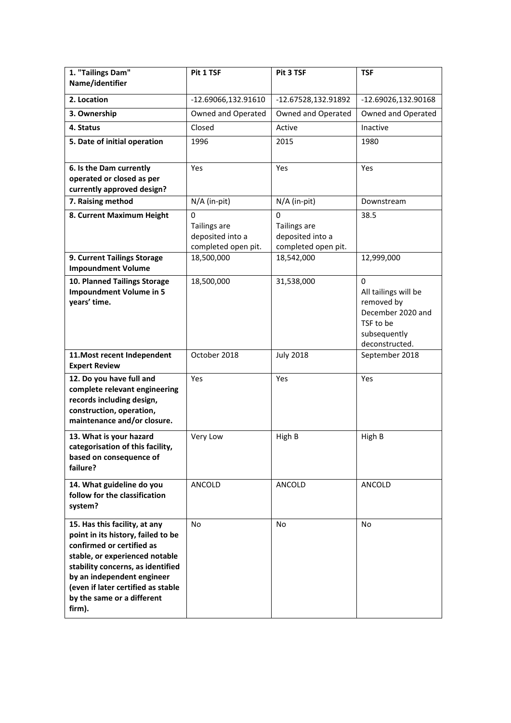| 1. "Tailings Dam"<br>Name/identifier                                                                                                                                                                                                                                                | Pit 1 TSF                                                           | Pit 3 TSF                                                    | <b>TSF</b>                                                                                                  |
|-------------------------------------------------------------------------------------------------------------------------------------------------------------------------------------------------------------------------------------------------------------------------------------|---------------------------------------------------------------------|--------------------------------------------------------------|-------------------------------------------------------------------------------------------------------------|
| 2. Location                                                                                                                                                                                                                                                                         | -12.69066,132.91610                                                 | -12.67528,132.91892                                          | -12.69026,132.90168                                                                                         |
| 3. Ownership                                                                                                                                                                                                                                                                        | Owned and Operated                                                  | Owned and Operated                                           | Owned and Operated                                                                                          |
| 4. Status                                                                                                                                                                                                                                                                           | Closed                                                              | Active                                                       | Inactive                                                                                                    |
| 5. Date of initial operation                                                                                                                                                                                                                                                        | 1996                                                                | 2015                                                         | 1980                                                                                                        |
| 6. Is the Dam currently<br>operated or closed as per<br>currently approved design?                                                                                                                                                                                                  | Yes                                                                 | Yes                                                          | Yes                                                                                                         |
| 7. Raising method                                                                                                                                                                                                                                                                   | N/A (in-pit)                                                        | $N/A$ (in-pit)                                               | Downstream                                                                                                  |
| 8. Current Maximum Height                                                                                                                                                                                                                                                           | 0<br><b>Tailings are</b><br>deposited into a<br>completed open pit. | 0<br>Tailings are<br>deposited into a<br>completed open pit. | 38.5                                                                                                        |
| 9. Current Tailings Storage<br><b>Impoundment Volume</b>                                                                                                                                                                                                                            | 18,500,000                                                          | 18,542,000                                                   | 12,999,000                                                                                                  |
| 10. Planned Tailings Storage<br><b>Impoundment Volume in 5</b><br>years' time.                                                                                                                                                                                                      | 18,500,000                                                          | 31,538,000                                                   | 0<br>All tailings will be<br>removed by<br>December 2020 and<br>TSF to be<br>subsequently<br>deconstructed. |
| 11. Most recent Independent<br><b>Expert Review</b>                                                                                                                                                                                                                                 | October 2018                                                        | <b>July 2018</b>                                             | September 2018                                                                                              |
| 12. Do you have full and<br>complete relevant engineering<br>records including design,<br>construction, operation,<br>maintenance and/or closure.                                                                                                                                   | Yes                                                                 | Yes                                                          | Yes                                                                                                         |
| 13. What is your hazard<br>categorisation of this facility,<br>based on consequence of<br>failure?                                                                                                                                                                                  | Very Low                                                            | High B                                                       | High B                                                                                                      |
| 14. What guideline do you<br>follow for the classification<br>system?                                                                                                                                                                                                               | ANCOLD                                                              | ANCOLD                                                       | ANCOLD                                                                                                      |
| 15. Has this facility, at any<br>point in its history, failed to be<br>confirmed or certified as<br>stable, or experienced notable<br>stability concerns, as identified<br>by an independent engineer<br>(even if later certified as stable<br>by the same or a different<br>firm). | No                                                                  | No                                                           | No                                                                                                          |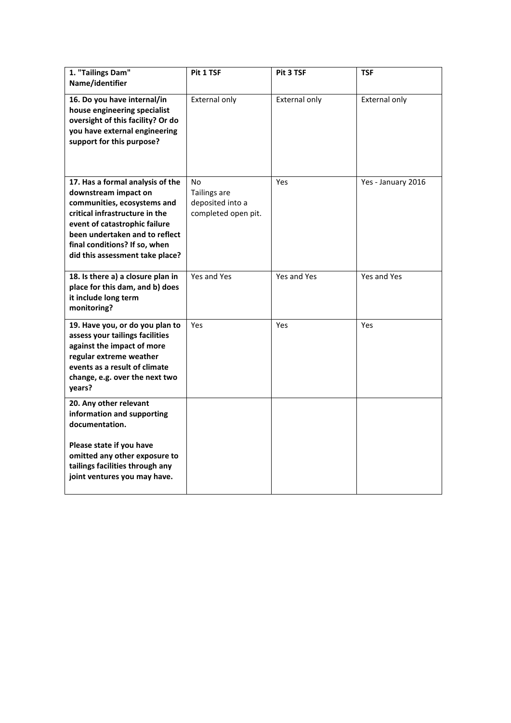| 1. "Tailings Dam"<br>Name/identifier                                                                                                                                                                                                                             | Pit 1 TSF                                                     | Pit 3 TSF            | <b>TSF</b>           |
|------------------------------------------------------------------------------------------------------------------------------------------------------------------------------------------------------------------------------------------------------------------|---------------------------------------------------------------|----------------------|----------------------|
| 16. Do you have internal/in<br>house engineering specialist<br>oversight of this facility? Or do<br>you have external engineering<br>support for this purpose?                                                                                                   | External only                                                 | <b>External only</b> | <b>External only</b> |
| 17. Has a formal analysis of the<br>downstream impact on<br>communities, ecosystems and<br>critical infrastructure in the<br>event of catastrophic failure<br>been undertaken and to reflect<br>final conditions? If so, when<br>did this assessment take place? | No<br>Tailings are<br>deposited into a<br>completed open pit. | Yes                  | Yes - January 2016   |
| 18. Is there a) a closure plan in<br>place for this dam, and b) does<br>it include long term<br>monitoring?                                                                                                                                                      | Yes and Yes                                                   | Yes and Yes          | Yes and Yes          |
| 19. Have you, or do you plan to<br>assess your tailings facilities<br>against the impact of more<br>regular extreme weather<br>events as a result of climate<br>change, e.g. over the next two<br>years?                                                         | Yes                                                           | Yes                  | Yes                  |
| 20. Any other relevant<br>information and supporting<br>documentation.                                                                                                                                                                                           |                                                               |                      |                      |
| Please state if you have<br>omitted any other exposure to<br>tailings facilities through any<br>joint ventures you may have.                                                                                                                                     |                                                               |                      |                      |